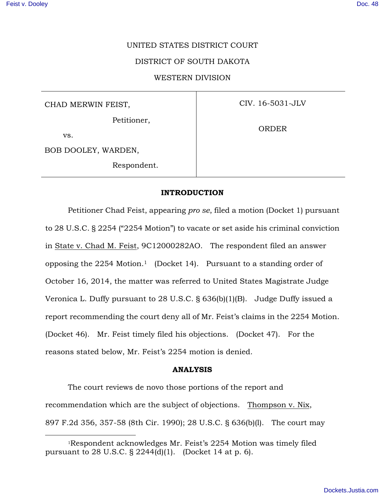# UNITED STATES DISTRICT COURT

# DISTRICT OF SOUTH DAKOTA

### WESTERN DIVISION

CIV. 16-5031-JLV

ORDER

CHAD MERWIN FEIST,

Petitioner,

vs.

 $\overline{a}$ 

BOB DOOLEY, WARDEN,

Respondent.

### **INTRODUCTION**

Petitioner Chad Feist, appearing *pro se*, filed a motion (Docket 1) pursuant to 28 U.S.C. § 2254 ("2254 Motion") to vacate or set aside his criminal conviction in State v. Chad M. Feist, 9C12000282AO. The respondent filed an answer opposing the 2254 Motion.<sup>1</sup> (Docket 14). Pursuant to a standing order of October 16, 2014, the matter was referred to United States Magistrate Judge Veronica L. Duffy pursuant to 28 U.S.C. § 636(b)(1)(B). Judge Duffy issued a report recommending the court deny all of Mr. Feist's claims in the 2254 Motion. (Docket 46). Mr. Feist timely filed his objections. (Docket 47). For the reasons stated below, Mr. Feist's 2254 motion is denied.

#### **ANALYSIS**

The court reviews de novo those portions of the report and recommendation which are the subject of objections. Thompson v. Nix, 897 F.2d 356, 357-58 (8th Cir. 1990); 28 U.S.C. § 636(b)(l). The court may

<sup>1</sup>Respondent acknowledges Mr. Feist's 2254 Motion was timely filed pursuant to 28 U.S.C. § 2244(d)(1). (Docket 14 at p. 6).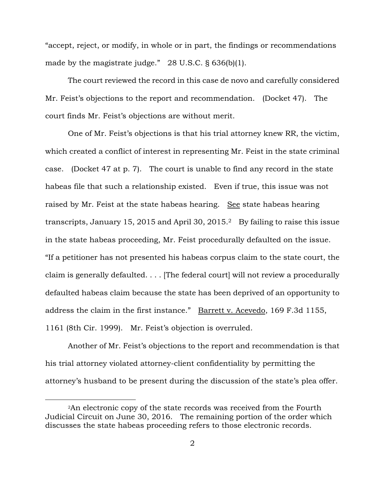"accept, reject, or modify, in whole or in part, the findings or recommendations made by the magistrate judge." 28 U.S.C. § 636(b)(1).

The court reviewed the record in this case de novo and carefully considered Mr. Feist's objections to the report and recommendation. (Docket 47). The court finds Mr. Feist's objections are without merit.

One of Mr. Feist's objections is that his trial attorney knew RR, the victim, which created a conflict of interest in representing Mr. Feist in the state criminal case. (Docket 47 at p. 7). The court is unable to find any record in the state habeas file that such a relationship existed. Even if true, this issue was not raised by Mr. Feist at the state habeas hearing. See state habeas hearing transcripts, January 15, 2015 and April 30, 2015.2 By failing to raise this issue in the state habeas proceeding, Mr. Feist procedurally defaulted on the issue. "If a petitioner has not presented his habeas corpus claim to the state court, the claim is generally defaulted. . . . [The federal court] will not review a procedurally defaulted habeas claim because the state has been deprived of an opportunity to address the claim in the first instance." Barrett v. Acevedo, 169 F.3d 1155, 1161 (8th Cir. 1999). Mr. Feist's objection is overruled.

Another of Mr. Feist's objections to the report and recommendation is that his trial attorney violated attorney-client confidentiality by permitting the attorney's husband to be present during the discussion of the state's plea offer.

 $\overline{a}$ 

<sup>2</sup>An electronic copy of the state records was received from the Fourth Judicial Circuit on June 30, 2016. The remaining portion of the order which discusses the state habeas proceeding refers to those electronic records.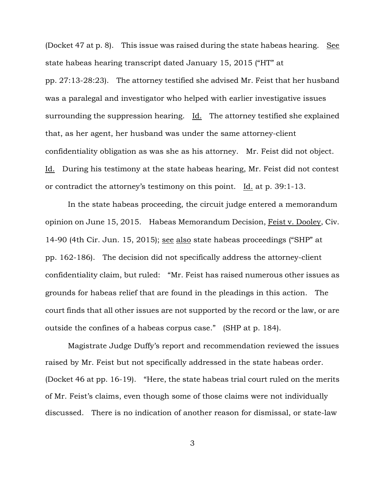(Docket 47 at p. 8). This issue was raised during the state habeas hearing. See state habeas hearing transcript dated January 15, 2015 ("HT" at pp. 27:13-28:23). The attorney testified she advised Mr. Feist that her husband was a paralegal and investigator who helped with earlier investigative issues surrounding the suppression hearing. Id. The attorney testified she explained that, as her agent, her husband was under the same attorney-client confidentiality obligation as was she as his attorney. Mr. Feist did not object. Id. During his testimony at the state habeas hearing, Mr. Feist did not contest or contradict the attorney's testimony on this point. Id. at p. 39:1-13.

In the state habeas proceeding, the circuit judge entered a memorandum opinion on June 15, 2015. Habeas Memorandum Decision, Feist v. Dooley, Civ. 14-90 (4th Cir. Jun. 15, 2015); see also state habeas proceedings ("SHP" at pp. 162-186). The decision did not specifically address the attorney-client confidentiality claim, but ruled: "Mr. Feist has raised numerous other issues as grounds for habeas relief that are found in the pleadings in this action. The court finds that all other issues are not supported by the record or the law, or are outside the confines of a habeas corpus case." (SHP at p. 184).

Magistrate Judge Duffy's report and recommendation reviewed the issues raised by Mr. Feist but not specifically addressed in the state habeas order. (Docket 46 at pp. 16-19). "Here, the state habeas trial court ruled on the merits of Mr. Feist's claims, even though some of those claims were not individually discussed. There is no indication of another reason for dismissal, or state-law

3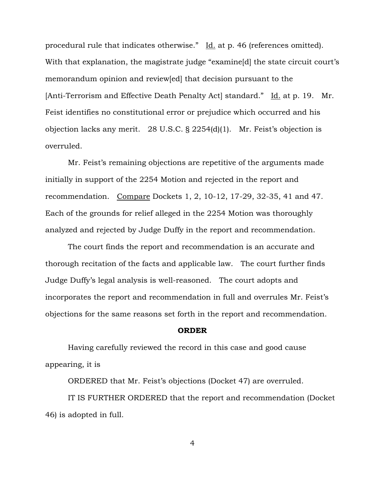procedural rule that indicates otherwise." Id. at p. 46 (references omitted). With that explanation, the magistrate judge "examine[d] the state circuit court's memorandum opinion and review[ed] that decision pursuant to the [Anti-Terrorism and Effective Death Penalty Act] standard." Id. at p. 19. Mr. Feist identifies no constitutional error or prejudice which occurred and his objection lacks any merit. 28 U.S.C. § 2254(d)(1). Mr. Feist's objection is overruled.

Mr. Feist's remaining objections are repetitive of the arguments made initially in support of the 2254 Motion and rejected in the report and recommendation. Compare Dockets 1, 2, 10-12, 17-29, 32-35, 41 and 47. Each of the grounds for relief alleged in the 2254 Motion was thoroughly analyzed and rejected by Judge Duffy in the report and recommendation.

The court finds the report and recommendation is an accurate and thorough recitation of the facts and applicable law. The court further finds Judge Duffy's legal analysis is well-reasoned. The court adopts and incorporates the report and recommendation in full and overrules Mr. Feist's objections for the same reasons set forth in the report and recommendation.

#### **ORDER**

Having carefully reviewed the record in this case and good cause appearing, it is

ORDERED that Mr. Feist's objections (Docket 47) are overruled.

 IT IS FURTHER ORDERED that the report and recommendation (Docket 46) is adopted in full.

4